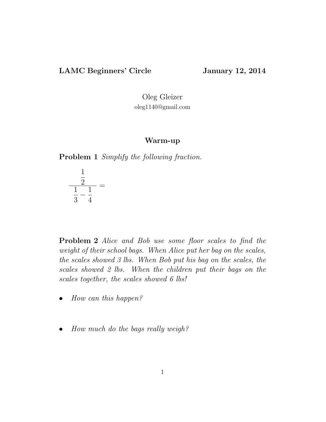# LAMC Beginners' Circle January 12, 2014

Oleg Gleizer oleg1140@gmail.com

#### Warm-up

Problem 1 Simplify the following fraction.

$$
\frac{\frac{1}{2}}{\frac{1}{3} - \frac{1}{4}} =
$$

Problem 2 Alice and Bob use some floor scales to find the weight of their school bags. When Alice put her bag on the scales, the scales showed 3 lbs. When Bob put his bag on the scales, the scales showed 2 lbs. When the children put their bags on the scales together, the scales showed 6 lbs!

- How can this happen?
- How much do the bags really weigh?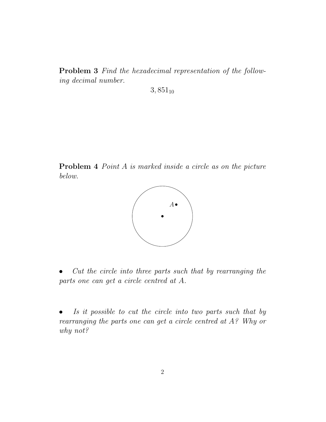Problem 3 Find the hexadecimal representation of the following decimal number.

 $3,851_{10}$ 

Problem 4 Point A is marked inside a circle as on the picture below.



• Cut the circle into three parts such that by rearranging the parts one can get a circle centred at A.

Is it possible to cut the circle into two parts such that by rearranging the parts one can get a circle centred at A? Why or why not?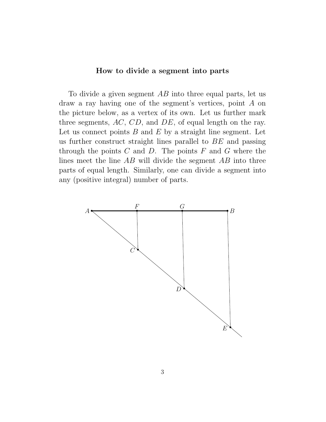# How to divide a segment into parts

To divide a given segment  $AB$  into three equal parts, let us draw a ray having one of the segment's vertices, point A on the picture below, as a vertex of its own. Let us further mark three segments, AC, CD, and DE, of equal length on the ray. Let us connect points  $B$  and  $E$  by a straight line segment. Let us further construct straight lines parallel to BE and passing through the points  $C$  and  $D$ . The points  $F$  and  $G$  where the lines meet the line AB will divide the segment AB into three parts of equal length. Similarly, one can divide a segment into any (positive integral) number of parts.

<span id="page-2-0"></span>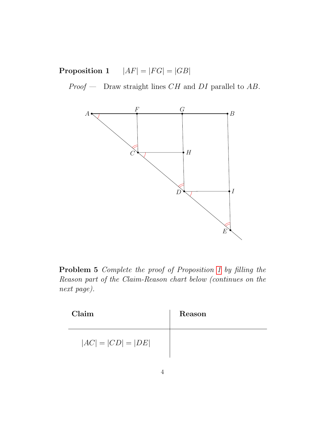**Proposition 1**  $|AF| = |FG| = |GB|$ 

 $Proof$  — Draw straight lines  $CH$  and  $DI$  parallel to  $AB$ .



Problem 5 Complete the proof of Proposition [1](#page-2-0) by filling the Reason part of the Claim-Reason chart below (continues on the next page).

| Claim                | Reason |
|----------------------|--------|
| $ AC  =  CD  =  DE $ |        |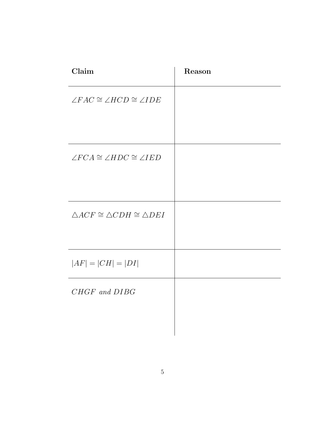| Claim                                                   | Reason |
|---------------------------------------------------------|--------|
| $\angle FAC \cong \angle HCD \cong \angle IDE$          |        |
| $\angle FCA \cong \angle HDC \cong \angle IED$          |        |
| $\triangle ACF \cong \triangle CDH \cong \triangle DEI$ |        |
| $ AF  =  CH  =  DI $                                    |        |
| CHGF and DIBG                                           |        |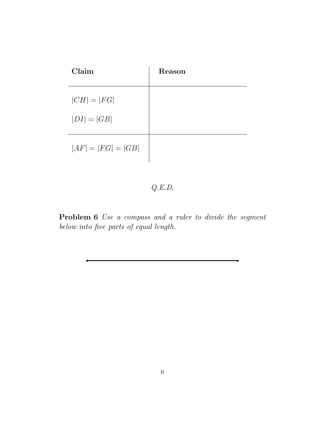| Claim                | Reason |
|----------------------|--------|
| $ CH  =  FG $        |        |
| $ DI  =  GB $        |        |
| $ AF  =  FG  =  GB $ |        |

# Q.E.D.

Problem 6 Use a compass and a ruler to divide the segment below into five parts of equal length.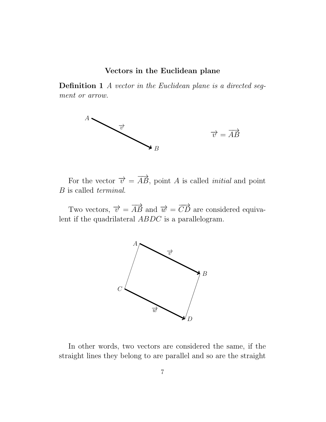### Vectors in the Euclidean plane

Definition 1 A vector in the Euclidean plane is a directed segment or arrow.



For the vector  $\vec{v} = \vec{AB}$ , point A is called *initial* and point B is called terminal.

Two vectors,  $\overrightarrow{v} = \overrightarrow{AB}$  and  $\overrightarrow{w} = \overrightarrow{CD}$  are considered equivalent if the quadrilateral ABDC is a parallelogram.



In other words, two vectors are considered the same, if the straight lines they belong to are parallel and so are the straight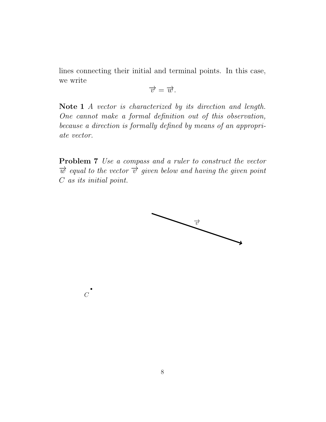lines connecting their initial and terminal points. In this case, we write

$$
\overrightarrow{v}=\overrightarrow{w}.
$$

Note 1 A vector is characterized by its direction and length. One cannot make a formal definition out of this observation, because a direction is formally defined by means of an appropriate vector.

Problem 7 Use a compass and a ruler to construct the vector  $\vec{w}$  equal to the vector  $\vec{v}$  given below and having the given point C as its initial point.



 $\overline{C}$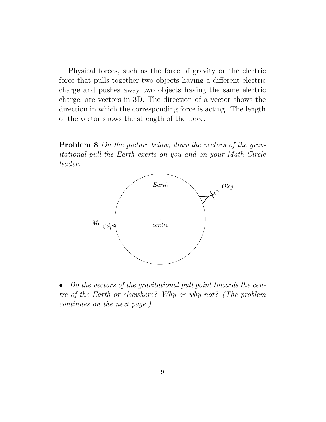Physical forces, such as the force of gravity or the electric force that pulls together two objects having a different electric charge and pushes away two objects having the same electric charge, are vectors in 3D. The direction of a vector shows the direction in which the corresponding force is acting. The length of the vector shows the strength of the force.

Problem 8 On the picture below, draw the vectors of the gravitational pull the Earth exerts on you and on your Math Circle leader.



• Do the vectors of the gravitational pull point towards the centre of the Earth or elsewhere? Why or why not? (The problem continues on the next page.)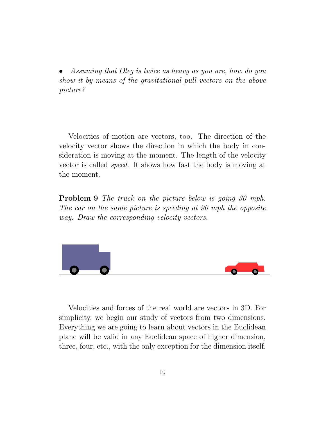• Assuming that Oleg is twice as heavy as you are, how do you show it by means of the gravitational pull vectors on the above picture?

Velocities of motion are vectors, too. The direction of the velocity vector shows the direction in which the body in consideration is moving at the moment. The length of the velocity vector is called speed. It shows how fast the body is moving at the moment.

**Problem 9** The truck on the picture below is going 30 mph. The car on the same picture is speeding at 90 mph the opposite way. Draw the corresponding velocity vectors.



Velocities and forces of the real world are vectors in 3D. For simplicity, we begin our study of vectors from two dimensions. Everything we are going to learn about vectors in the Euclidean plane will be valid in any Euclidean space of higher dimension, three, four, etc., with the only exception for the dimension itself.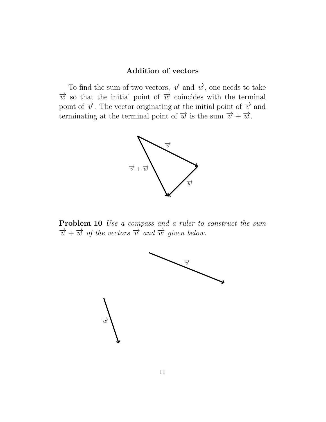## Addition of vectors

To find the sum of two vectors,  $\vec{v}$  and  $\vec{w}$ , one needs to take  $\vec{w}$  so that the initial point of  $\vec{w}$  coincides with the terminal point of  $\vec{v}$ . The vector originating at the initial point of  $\vec{v}$  and terminating at the terminal point of  $\vec{w}$  is the sum  $\vec{v} + \vec{w}$ .



Problem 10 Use a compass and a ruler to construct the sum  $\overrightarrow{v}+\overrightarrow{w}$  of the vectors  $\overrightarrow{v}$  and  $\overrightarrow{w}$  given below.

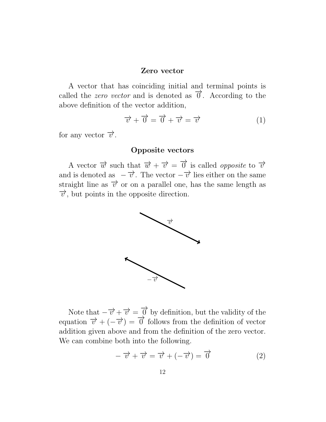#### Zero vector

A vector that has coinciding initial and terminal points is called the *zero vector* and is denoted as  $\vec{\theta}$ . According to the above definition of the vector addition,

<span id="page-11-0"></span>
$$
\overrightarrow{v} + \overrightarrow{0} = \overrightarrow{0} + \overrightarrow{v} = \overrightarrow{v}
$$
 (1)

for any vector  $\overrightarrow{v}$ .

## Opposite vectors

A vector  $\vec{w}$  such that  $\vec{w} + \vec{v} = \vec{0}$  is called *opposite* to  $\vec{v}$ and is denoted as  $-\vec{v}$ . The vector  $-\vec{v}$  lies either on the same straight line as  $\vec{v}$  or on a parallel one, has the same length as  $\vec{v}$ , but points in the opposite direction.



Note that  $-\overrightarrow{v} + \overrightarrow{v} = \overrightarrow{0}$  by definition, but the validity of the equation  $\vec{v} + (-\vec{v}) = \vec{0}$  follows from the definition of vector addition given above and from the definition of the zero vector. We can combine both into the following.

<span id="page-11-1"></span>
$$
-\overrightarrow{v} + \overrightarrow{v} = \overrightarrow{v} + (-\overrightarrow{v}) = \overrightarrow{0}
$$
 (2)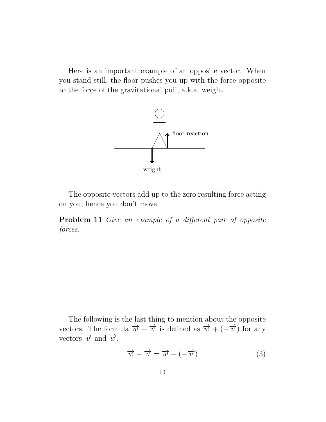Here is an important example of an opposite vector. When you stand still, the floor pushes you up with the force opposite to the force of the gravitational pull, a.k.a. weight.



The opposite vectors add up to the zero resulting force acting on you, hence you don't move.

Problem 11 Give an example of a different pair of opposite forces.

The following is the last thing to mention about the opposite vectors. The formula  $\overrightarrow{w} - \overrightarrow{v}$  is defined as  $\overrightarrow{w} + (-\overrightarrow{v})$  for any vectors  $\overrightarrow{v}$  and  $\overrightarrow{w}$ .

$$
\overrightarrow{w} - \overrightarrow{v} = \overrightarrow{w} + (-\overrightarrow{v}) \tag{3}
$$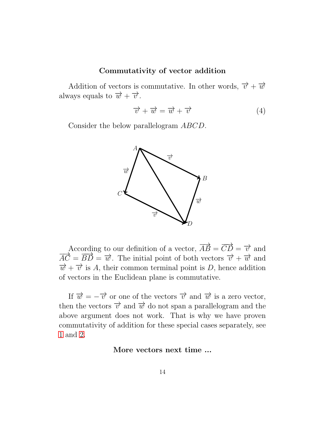## Commutativity of vector addition

Addition of vectors is commutative. In other words,  $\vec{v} + \vec{w}$ always equals to  $\vec{w} + \vec{v}$ .

$$
\overrightarrow{v} + \overrightarrow{w} = \overrightarrow{w} + \overrightarrow{v}
$$
 (4)

Consider the below parallelogram ABCD.



According to our definition of a vector,  $\overrightarrow{AB} = \overrightarrow{CD} = \overrightarrow{v}$  and  $\overrightarrow{AC} = \overrightarrow{BD} = \overrightarrow{w}$ . The initial point of both vectors  $\overrightarrow{v} + \overrightarrow{w}$  and  $\vec{w} + \vec{v}$  is A, their common terminal point is D, hence addition of vectors in the Euclidean plane is commutative.

If  $\vec{w} = -\vec{v}$  or one of the vectors  $\vec{v}$  and  $\vec{w}$  is a zero vector, then the vectors  $\vec{v}$  and  $\vec{w}$  do not span a parallelogram and the above argument does not work. That is why we have proven commutativity of addition for these special cases separately, see [1](#page-11-0) and [2.](#page-11-1)

#### More vectors next time ...